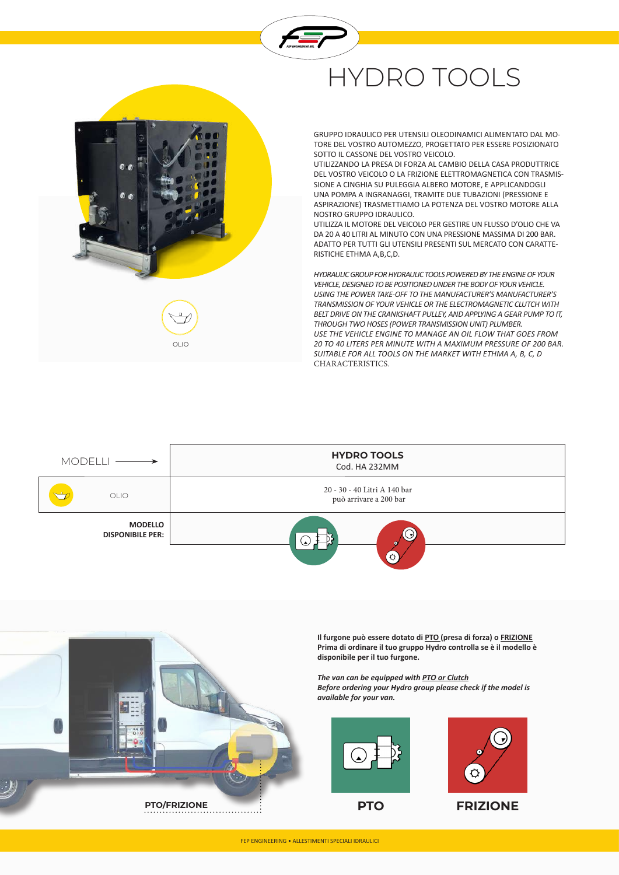

## HYDRO TOOLS



GRUPPO IDRAULICO PER UTENSILI OLEODINAMICI ALIMENTATO DAL MO-TORE DEL VOSTRO AUTOMEZZO, PROGETTATO PER ESSERE POSIZIONATO SOTTO IL CASSONE DEL VOSTRO VEICOLO.

UTILIZZANDO LA PRESA DI FORZA AL CAMBIO DELLA CASA PRODUTTRICE DEL VOSTRO VEICOLO O LA FRIZIONE ELETTROMAGNETICA CON TRASMIS-SIONE A CINGHIA SU PULEGGIA ALBERO MOTORE, E APPLICANDOGLI UNA POMPA A INGRANAGGI, TRAMITE DUE TUBAZIONI (PRESSIONE E ASPIRAZIONE) TRASMETTIAMO LA POTENZA DEL VOSTRO MOTORE ALLA NOSTRO GRUPPO IDRAULICO.

UTILIZZA IL MOTORE DEL VEICOLO PER GESTIRE UN FLUSSO D'OLIO CHE VA DA 20 A 40 LITRI AL MINUTO CON UNA PRESSIONE MASSIMA DI 200 BAR. ADATTO PER TUTTI GLI UTENSILI PRESENTI SUL MERCATO CON CARATTE-RISTICHE ETHMA A,B,C,D.

*HYDRAULIC GROUP FOR HYDRAULIC TOOLS POWERED BY THE ENGINE OF YOUR VEHICLE, DESIGNED TO BE POSITIONED UNDER THE BODY OF YOUR VEHICLE. USING THE POWER TAKE-OFF TO THE MANUFACTURER'S MANUFACTURER'S TRANSMISSION OF YOUR VEHICLE OR THE ELECTROMAGNETIC CLUTCH WITH BELT DRIVE ON THE CRANKSHAFT PULLEY, AND APPLYING A GEAR PUMP TO IT, THROUGH TWO HOSES (POWER TRANSMISSION UNIT) PLUMBER. USE THE VEHICLE ENGINE TO MANAGE AN OIL FLOW THAT GOES FROM 20 TO 40 LITERS PER MINUTE WITH A MAXIMUM PRESSURE OF 200 BAR. SUITABLE FOR ALL TOOLS ON THE MARKET WITH ETHMA A, B, C, D*  CHARACTERISTICS.





**Il furgone può essere dotato di PTO (presa di forza) o FRIZIONE Prima di ordinare il tuo gruppo Hydro controlla se è il modello è disponibile per il tuo furgone.**

*The van can be equipped with PTO or Clutch Before ordering your Hydro group please check if the model is available for your van.*





**PTO FRIZIONE**